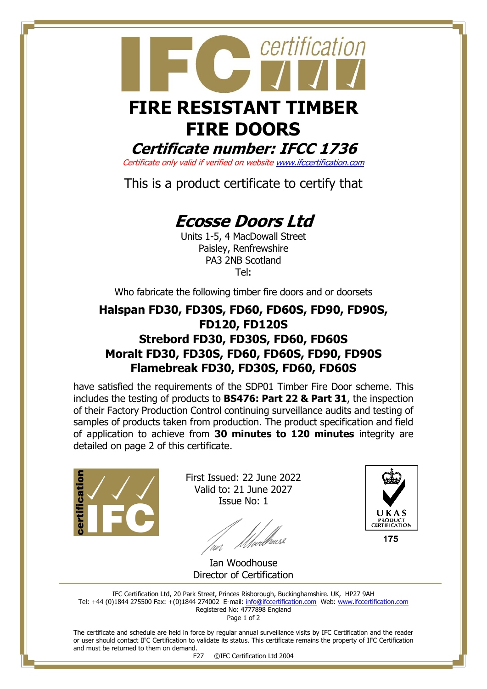# certification  **FIRE RESISTANT TIMBER**

## **FIRE DOORS Certificate number: IFCC 1736**

Certificate only valid if verified on websit[e www.ifccertification.com](http://www.ifccertification.com/)

This is a product certificate to certify that

# **Ecosse Doors Ltd**

Units 1-5, 4 MacDowall Street Paisley, Renfrewshire PA3 2NB Scotland Tel:

Who fabricate the following timber fire doors and or doorsets

### **Halspan FD30, FD30S, FD60, FD60S, FD90, FD90S, FD120, FD120S Strebord FD30, FD30S, FD60, FD60S Moralt FD30, FD30S, FD60, FD60S, FD90, FD90S Flamebreak FD30, FD30S, FD60, FD60S**

have satisfied the requirements of the SDP01 Timber Fire Door scheme. This includes the testing of products to **BS476: Part 22 & Part 31**, the inspection of their Factory Production Control continuing surveillance audits and testing of samples of products taken from production. The product specification and field of application to achieve from **30 minutes to 120 minutes** integrity are detailed on page 2 of this certificate.



First Issued: 22 June 2022 Valid to: 21 June 2027 Issue No: 1



Ian Woodhouse Director of Certification

IFC Certification Ltd, 20 Park Street, Princes Risborough, Buckinghamshire. UK, HP27 9AH Tel: +44 (0)1844 275500 Fax: +(0)1844 274002 E-mail[: info@ifccertification.com](mailto:info@ifccertification.com) Web: [www.ifccertification.com](http://www.ifccertification.com/) Registered No: 4777898 England Page 1 of 2

The certificate and schedule are held in force by regular annual surveillance visits by IFC Certification and the reader or user should contact IFC Certification to validate its status. This certificate remains the property of IFC Certification and must be returned to them on demand.